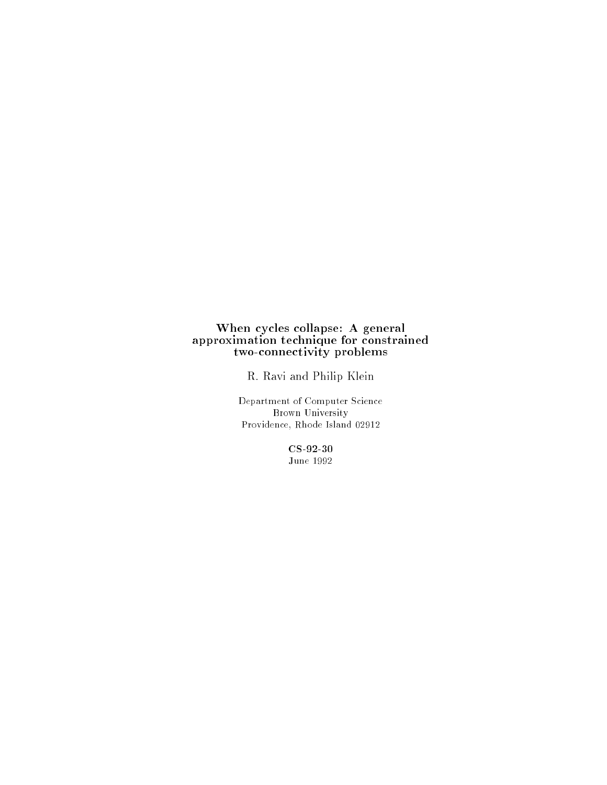#### When cycles collapse: A general approximation technique for constrained two-connectivity problems

R. Ravi and Philip Klein

Department of Computer Science Brown University Providence, Rhode Island 02912

> CS-92-30 June 1992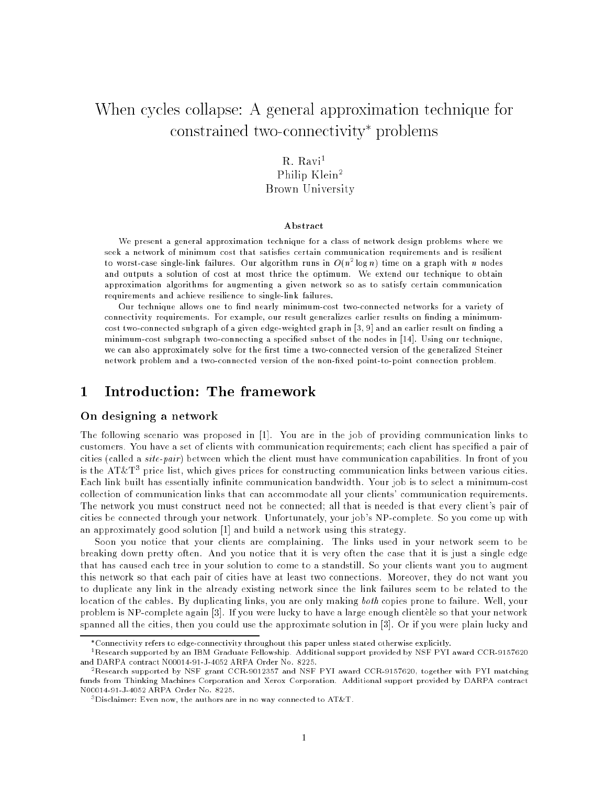# When cycles collapse: A general approximation technique for constrained two-connectivity problems

#### $R. Ravi<sup>1</sup>$ Philip Klein<sup>2</sup> Brown University

#### Abstract

We present a general approximation technique for a class of network design problems where we seek a network of minimum cost that satisfies certain communication requirements and is resilient to worst-case single-link failures. Our algorithm runs in  $O(n^2 \log n)$  time on a graph with  $n$  nodes and outputs a solution of cost at most thrice the optimum. We extend our technique to obtain approximation algorithms for augmenting a given network so as to satisfy certain communication requirements and achieve resilience to single-link failures.

Our technique allows one to find nearly minimum-cost two-connected networks for a variety of connectivity requirements. For example, our result generalizes earlier results on finding a minimumcost two-connected subgraph of a given edge-weighted graph in  $[3, 9]$  and an earlier result on finding a minimum-cost subgraph two-connecting a specied subset of the nodes in [14]. Using our technique, we can also approximately solve for the first time a two-connected version of the generalized Steiner network problem and a two-connected version of the non-fixed point-to-point connection problem.

#### $\mathbf{1}$ 1 Introduction: The framework

#### On designing a network

The following scenario was proposed in [1]. You are in the job of providing communication links to customers. You have a set of clients with communication requirements; each client has specied a pair of cities (called a *site-pair*) between which the client must have communication capabilities. In front of you is the AT&T<sup>3</sup> price list, which gives prices for constructing communication links between various cities. Each link built has essentially infinite communication bandwidth. Your job is to select a minimum-cost collection of communication links that can accommodate all your clients' communication requirements. The network you must construct need not be connected; all that is needed is that every client's pair of cities be connected through your network. Unfortunately, your job's NP-complete. So you come up with an approximately good solution [1] and build a network using this strategy.

Soon you notice that your clients are complaining. The links used in your network seem to be breaking down pretty often. And you notice that it is very often the case that it is just a single edge that has caused each tree in your solution to come to a standstill. So your clients want you to augment this network so that each pair of cities have at least two connections. Moreover, they do not want you to duplicate any link in the already existing network since the link failures seem to be related to the location of the cables. By duplicating links, you are only making both copies prone to failure. Well, your problem is NP-complete again [3]. If you were lucky to have a large enough clientele so that your network spanned all the cities, then you could use the approximate solution in [3]. Or if you were plain lucky and

Connectivity refers to edge-connectivity throughout this paper unless stated otherwise explicitly.

<sup>&</sup>lt;sup>1</sup>Research supported by an IBM Graduate Fellowship. Additional support provided by NSF PYI award CCR-9157620 and DARPA contract N00014-91-J-4052 ARPA Order No. 8225.

<sup>2</sup>Research supported by NSF grant CCR-9012357 and NSF PYI award CCR-9157620, together with PYI matching funds from Thinking Machines Corporation and Xerox Corporation. Additional support provided by DARPA contract N00014-91-J-4052 ARPA Order No. 8225.

 $3$ Disclaimer: Even now, the authors are in no way connected to AT&T.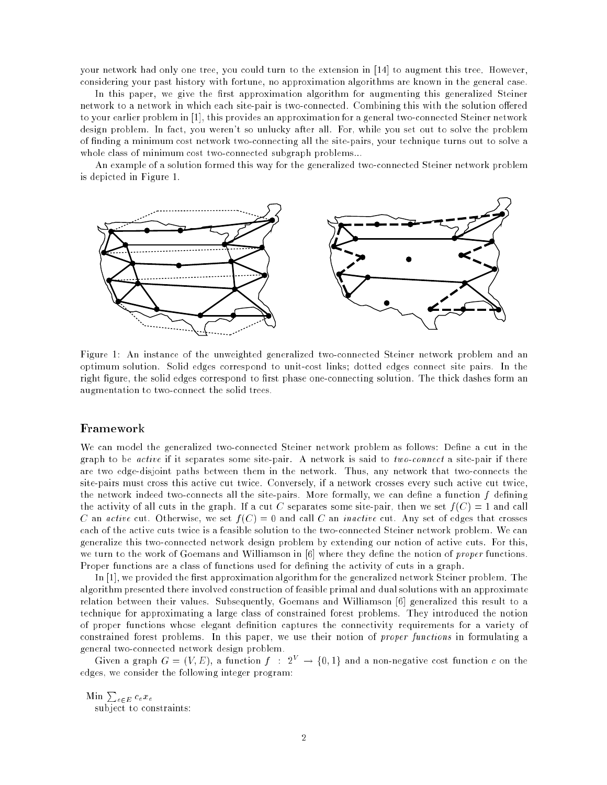your network had only one tree, you could turn to the extension in [14] to augment this tree. However, considering your past history with fortune, no approximation algorithms are known in the general case.

In this paper, we give the first approximation algorithm for augmenting this generalized Steiner network to a network in which each site-pair is two-connected. Combining this with the solution offered to your earlier problem in [1], this provides an approximation for a general two-connected Steiner network design problem. In fact, you weren't so unlucky after all. For, while you set out to solve the problem of nding a minimum cost network two-connecting all the site-pairs, your technique turns out to solve a whole class of minimum cost two-connected subgraph problems...

An example of a solution formed this way for the generalized two-connected Steiner network problem is depicted in Figure 1.



Figure 1: An instance of the unweighted generalized two-connected Steiner network problem and an optimum solution. Solid edges correspond to unit-cost links; dotted edges connect site pairs. In the right figure, the solid edges correspond to first phase one-connecting solution. The thick dashes form an augmentation to two-connect the solid trees.

#### Framework

We can model the generalized two-connected Steiner network problem as follows: Define a cut in the graph to be active if it separates some site-pair. A network is said to two-connect a site-pair if there are two edge-disjoint paths between them in the network. Thus, any network that two-connects the site-pairs must cross this active cut twice. Conversely, if a network crosses every such active cut twice, the network indeed two-connects all the site-pairs. More formally, we can define a function  $f$  defining the activity of all cuts in the graph. If a cut C separates some site-pair, then we set  $f(C) = 1$  and call C an active cut. Otherwise, we set  $f(C) = 0$  and call C an *inactive* cut. Any set of edges that crosses each of the active cuts twice is a feasible solution to the two-connected Steiner network problem. We can generalize this two-connected network design problem by extending our notion of active cuts. For this, we turn to the work of Goemans and Williamson in [6] where they define the notion of proper functions. Proper functions are a class of functions used for defining the activity of cuts in a graph.

In [1], we provided the first approximation algorithm for the generalized network Steiner problem. The algorithm presented there involved construction of feasible primal and dual solutions with an approximate relation between their values. Subsequently, Goemans and Williamson [6] generalized this result to a technique for approximating a large class of constrained forest problems. They introduced the notion of proper functions whose elegant denition captures the connectivity requirements for a variety of constrained forest problems. In this paper, we use their notion of *proper functions* in formulating a general two-connected network design problem.

Given a graph  $G = (V, E)$ , a function  $f : 2^V \rightarrow \{0, 1\}$  and a non-negative cost function c on the edges, we consider the following integer program:

 $\operatorname{Min}\,\sum_{e\in\,E}\,c_e\hspace{0.025cm}x_e$ subject to constraints: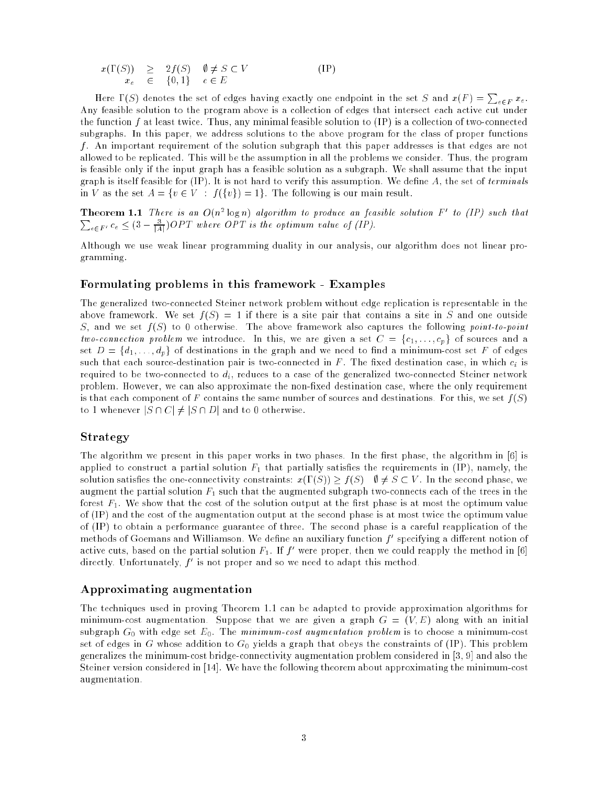$$
x(\Gamma(S)) \geq 2f(S) \quad \emptyset \neq S \subset V
$$
  
\n
$$
x_e \in \{0, 1\} \quad e \in E
$$
 (IP)

Here  $\Gamma(S)$  denotes the set of edges having exactly one endpoint in the set S and  $x(F) = \sum_{e \in F} x_e$ . Any feasible solution to the program above is a collection of edges that intersect each active cut under the function f at least twice. Thus, any minimal feasible solution to (IP) is a collection of two-connected subgraphs. In this paper, we address solutions to the above program for the class of proper functions f. An important requirement of the solution subgraph that this paper addresses is that edges are not allowed to be replicated. This will be the assumption in all the problems we consider. Thus, the program is feasible only if the input graph has a feasible solution as a subgraph. We shall assume that the input graph is itself feasible for  $(IP)$ . It is not hard to verify this assumption. We define  $A$ , the set of terminals in V as the set  $A = \{v \in V : f({v}) = 1\}$ . The following is our main result.

**Theorem 1.1** There is an  $O(n^2 \log n)$  algorithm to produce an feasible solution  $F = \omega/(T)$  such that  $\sum_{e\in F'} c_e \leq (3-\frac{3}{|A|})OPT$  where OPT is the optimum value of (IP).

Although we use weak linear programming duality in our analysis, our algorithm does not linear programming.

#### Formulating problems in this framework - Examples

The generalized two-connected Steiner network problem without edge replication is representable in the above framework. We set  $f(S) = 1$  if there is a site pair that contains a site in S and one outside S, and we set  $f(S)$  to 0 otherwise. The above framework also captures the following point-to-point two-connection problem we introduce. In this, we are given a set  $C = \{c_1, \ldots, c_p\}$  of sources and a set  $D = \{d_1, \ldots, d_p\}$  of destinations in the graph and we need to find a minimum-cost set F of edges such that each source-destination pair is two-connected in  $F$ . The fixed destination case, in which  $c_i$  is required to be two-connected to  $d_i$ , reduces to a case of the generalized two-connected Steiner network problem. However, we can also approximate the non-fixed destination case, where the only requirement is that each component of F contains the same number of sources and destinations. For this, we set  $f(S)$ to 1 whenever  $|S \cap C| \neq |S \cap D|$  and to 0 otherwise.

#### Strategy

The algorithm we present in this paper works in two phases. In the first phase, the algorithm in [6] is applied to construct a partial solution  $F_1$  that partially satisfies the requirements in (IP), namely, the solution satisfies the one-connectivity constraints:  $x(\Gamma(S)) \geq f(S)$   $\emptyset \neq S \subset V$ . In the second phase, we augment the partial solution  $F_1$  such that the augmented subgraph two-connects each of the trees in the forest  $F_1$ . We show that the cost of the solution output at the first phase is at most the optimum value of (IP) and the cost of the augmentation output at the second phase is at most twice the optimum value of (IP) to obtain a performance guarantee of three. The second phase is a careful reapplication of the methods of Goemans and Williamson. We dene an auxiliary function f 0 specifying a dierent notion of active cuts, based on the partial solution  $r_1$ . If  $f$  were proper, then we could reapply the method in [6] directly. Unfortunately, f 0 is not proper and so we need to adapt this method.

#### Approximating augmentation

The techniques used in proving Theorem 1.1 can be adapted to provide approximation algorithms for minimum-cost augmentation. Suppose that we are given a graph  $G = (V, E)$  along with an initial subgraph  $G_0$  with edge set  $E_0$ . The minimum-cost augmentation problem is to choose a minimum-cost set of edges in G whose addition to  $G_0$  yields a graph that obeys the constraints of (IP). This problem generalizes the minimum-cost bridge-connectivity augmentation problem considered in [3, 9] and also the Steiner version considered in [14]. We have the following theorem about approximating the minimum-cost augmentation.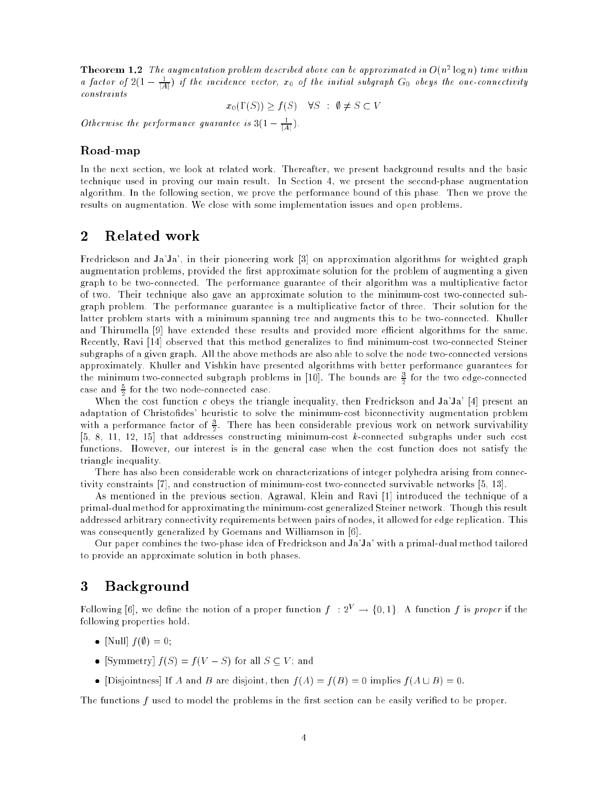**Theorem 1.2** The augmentation problem aescribed above can be approximated in  $O(n^2 \log n)$  time within a factor of  $z(1-\frac{1}{|A|})$  if the incidence vector,  $x_0$  of the initial subgraph  $G_0$  obeys the one-connectivity constraints

 $x_0(\Gamma(S)) \ge f(S) \quad \forall S : \emptyset \ne S \subset V$ 

Otherwise the performance guarantee is  $3(1-\frac{1}{|A|})$ .

#### Road-map

In the next section, we look at related work. Thereafter, we present background results and the basic technique used in proving our main result. In Section 4, we present the second-phase augmentation algorithm. In the following section, we prove the performance bound of this phase. Then we prove the results on augmentation. We close with some implementation issues and open problems.

## 2 Related work

Fredrickson and Ja'Ja', in their pioneering work [3] on approximation algorithms for weighted graph augmentation problems, provided the first approximate solution for the problem of augmenting a given graph to be two-connected. The performance guarantee of their algorithm was a multiplicative factor of two. Their technique also gave an approximate solution to the minimum-cost two-connected subgraph problem. The performance guarantee is a multiplicative factor of three. Their solution for the latter problem starts with a minimum spanning tree and augments this to be two-connected. Khuller and Thirumella [9] have extended these results and provided more efficient algorithms for the same. Recently, Ravi [14] observed that this method generalizes to find minimum-cost two-connected Steiner subgraphs of a given graph. All the above methods are also able to solve the node two-connected versions approximately. Khuller and Vishkin have presented algorithms with better performance guarantees for the minimum two-connected subgraph problems in  $[10]$ . The bounds are  $\frac{1}{2}$  for the two edge-connected case and  $\frac{1}{6}$  for the two node-connected case.

When the cost function c obeys the triangle inequality, then Fredrickson and Ja'Ja' [4] present an adaptation of Christofides' heuristic to solve the minimum-cost biconnectivity augmentation problem with a performance factor of  $\frac{1}{2}$ . There has been considerable previous work on network survivability  $\mathbf{15}$  that addresses constructing minimum-cost k-connected subgraphs under such connected subgraphs under such cost  $\mathbf{A}$ functions. However, our interest is in the general case when the cost function does not satisfy the triangle inequality.

There has also been considerable work on characterizations of integer polyhedra arising from connectivity constraints [7], and construction of minimum-cost two-connected survivable networks [5, 13].

As mentioned in the previous section, Agrawal, Klein and Ravi [1] introduced the technique of a primal-dualmethod for approximating the minimum-cost generalized Steiner network. Though this result addressed arbitrary connectivity requirements between pairs of nodes, it allowed for edge replication. This was consequently generalized by Goemans and Williamson in [6].

Our paper combines the two-phase idea of Fredrickson and Ja'Ja' with a primal-dual method tailored to provide an approximate solution in both phases.

## 3 Background

Following [6], we define the notion of a proper function  $f : 2^V \to \{0,1\}$ . A function f is proper if the following properties hold.

- $\blacksquare$  for  $\blacksquare$  for  $\blacksquare$  ,  $\blacksquare$  ,  $\blacksquare$  ,  $\blacksquare$  ,  $\blacksquare$  ,  $\blacksquare$  ,  $\blacksquare$
- [Symmetry] f (S) = f (V S) for all S V ; and
- $\mathcal{L}$  is a and B are distorted by a strongle form f (A)  $\mathcal{L}$  ,  $\mathcal{L}$  ,  $\mathcal{L}$  ,  $\mathcal{L}$  ,  $\mathcal{L}$  ,  $\mathcal{L}$  ,  $\mathcal{L}$  ,  $\mathcal{L}$  ,  $\mathcal{L}$  ,  $\mathcal{L}$  ,  $\mathcal{L}$  ,  $\mathcal{L}$  ,  $\mathcal{L}$  ,  $\mathcal{L}$  ,  $\mathcal{L}$

The functions  $f$  used to model the problems in the first section can be easily verified to be proper.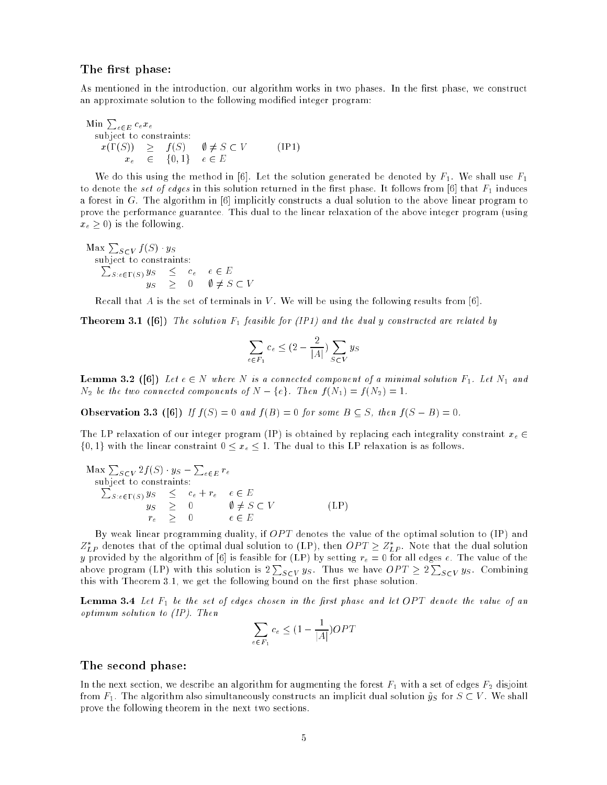#### The first phase:

As mentioned in the introduction, our algorithm works in two phases. In the first phase, we construct an approximate solution to the following modied integer program:

Min 
$$
\sum_{e \in E} c_e x_e
$$
  
\nsubject to constraints:  
\n $x(\Gamma(S)) \geq f(S) \quad \emptyset \neq S \subset V$  (IP1)  
\n $x_e \in \{0,1\} \quad e \in E$ 

We do this using the method in [6]. Let the solution generated be denoted by  $F_1$ . We shall use  $F_1$ to denote the set of edges in this solution returned in the first phase. It follows from [6] that  $F_1$  induces a forest in G. The algorithm in [6] implicitly constructs a dual solution to the above linear program to prove the performance guarantee. This dual to the linear relaxation of the above integer program (using  $x_e > 0$ ) is the following.

 $\operatorname{Max} \sum_{S \subset V} f(S) \cdot y_S$  $\sum_{S: e \in \Gamma(S)} y_S \leq c_e \quad e \in E$ yS <sup>0</sup> ; 6= <sup>S</sup> <sup>V</sup>

Recall that A is the set of terminals in V. We will be using the following results from [6].

Theorem 3.1 ([6]) The solution F1 feasible for (IP1) and the dual <sup>y</sup> constructed are related by

$$
\sum_{e \in F_1} c_e \le (2 - \frac{2}{|A|}) \sum_{S \subset V} y_S
$$

Lemma 3.2 ([6]) Let <sup>e</sup> <sup>2</sup> <sup>N</sup> where <sup>N</sup> is a connected component of a minimal solution F1. Let N1 and  $N_2$  be the two connected components of  $N - \{e\}$ . Then  $f(N_1) = f(N_2) = 1$ .

Observation 3.3 ([6]) If f (S) = 0 and f (B) = 0 for some B S, then f (S B) = 0.

The LP relaxation of our integer program (IP) is obtained by replacing each integrality constraint  $x_e \in$  $\{0, 1\}$  with the linear constraint  $0 \le x_e \le 1$ . The dual to this LP relaxation is as follows.

$$
\begin{array}{rcl}\n\text{Max } \sum_{S \subset V} 2f(S) \cdot y_S - \sum_{e \in E} r_e \\
\text{subject to constraints:} \\
\sum_{S: e \in \Gamma(S)} y_S & \leq & e + r_e & e \in E \\
y_S & \geq & 0 & \emptyset \neq S \subset V \\
r_e & \geq & 0 & e \in E\n\end{array} \tag{LP}
$$

By weak linear programming duality, if  $OPT$  denotes the value of the optimal solution to (IP) and  $Z_{LP}$  denotes that of the optimal dual solution to (LP), then  $OPL \geq Z_{LP}$ . Note that the dual solution y provided by the algorithm of [6] is feasible for (LP) by setting  $r_e = 0$  for all edges e. The value of the above program (LP) with this solution is  $2\sum_{S\subset V} y_S$ . Thus we have  $OPT \geq 2\sum_{S\subset V} y_S$ . Combining this with Theorem 3.1, we get the following bound on the first phase solution.

Lemma 3.4 Let F1 be the set of edges chosen in the rst phase and let OP T denote the value of an optimum solution to (IP). Then

$$
\sum_{e \in F_1} c_e \le (1 - \frac{1}{|A|})OPT
$$

#### The second phase:

In the next section, we describe an algorithm for augmenting the forest  $F_1$  with a set of edges  $F_2$  disjoint from  $F_1$ . The algorithm also simultaneously constructs an implicit dual solution  $\tilde{y}_S$  for  $S \subset V$ . We shall prove the following theorem in the next two sections.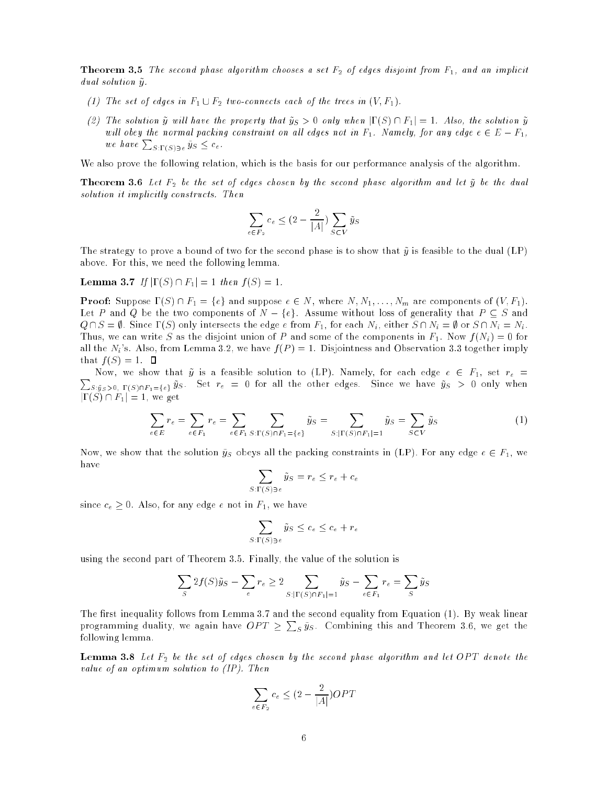Theorem 3.5 The second phase algorithm chooses a set F2 of edges disjoint from F1, and an implicit  $dual$  solution  $\tilde{y}$ .

- (1) The set of edges in  $F_1 \cup F_2$  two-connects each of the trees in  $(V, F_1)$ .
- (2) The solution  $\tilde{y}$  will have the property that  $\tilde{y}_S > 0$  only when  $|\Gamma(S) \cap F_1| = 1$ . Also, the solution  $\tilde{y}$ will obey the normal packing constraint on all edges not in  $F_1$ . Namely, for any edge  $e \in E - F_1$ , we have  $\sum_{S\in \Gamma(S)\ni e}\tilde{y}_S \leq c_e$ .

We also prove the following relation, which is the basis for our performance analysis of the algorithm.

These first first  $2$  be the set of edges chosen by the second phase algorithm and let  $y$  be the dual solution it implicitly constructs. Then

$$
\sum_{e \in F_2} c_e \le (2 - \frac{2}{|A|}) \sum_{S \subset V} \tilde{y}_S
$$

The strategy to prove a bound of two for the second phase is to show that  $\tilde{y}$  is feasible to the dual (LP) above. For this, we need the following lemma.

Lemma 3.7 If j(S) \ F1<sup>j</sup> = 1 then f (S) = 1.

**Proof:** Suppose  $P(S) = |S|$  and suppose  $S \subset N$ , where  $N_1, N_1, \ldots, N_m$  are components of  $(N_1, F)$ . Let P and Q be the two components of  $N - \{e\}$ . Assume without loss of generality that  $P \subseteq S$  and  $Q \cap S = \emptyset$ . Since  $\Gamma(S)$  only intersects the edge  $e$  from  $F_1$ , for each  $N_i$ , either  $S \cap N_i = \emptyset$  or  $S \cap N_i = N_i$ . Thus, we can write S as the disjoint union of P and some of the components in  $F_1$ . Now  $f(N_i) = 0$  for all the  $N_i$ 's. Also, from Lemma 3.2, we have  $f(P) = 1$ . Disjointness and Observation 3.3 together imply that  $f(S) = 1$ .  $\Box$ 

 $\sum_{S: \tilde{y}_S>0,~\Gamma(S)\cap F_1=\{e\}} \tilde{y}_S$ . Set  $r_e~=~0$  for all the other edges. Since we have  $\tilde{y}_S~>~0$  only when Now, we show that  $\tilde{y}$  is a feasible solution to (LP). Namely, for each edge  $e \in F_1$ , set  $r_e =$  $|\Gamma(S) \cap F_1| = 1$ , we get

$$
\sum_{e \in E} r_e = \sum_{e \in F_1} r_e = \sum_{e \in F_1} \sum_{S: \Gamma(S) \cap F_1 = \{e\}} \tilde{y}_S = \sum_{S: |\Gamma(S) \cap F_1| = 1} \tilde{y}_S = \sum_{S \subset V} \tilde{y}_S
$$
(1)

Now, we show that the solution  $\tilde{y}_S$  obeys all the packing constraints in (LP). For any edge  $e \in F_1$ , we have

$$
\sum_{S:\Gamma(S)\ni e}\tilde{y}_S=r_e\leq r_e+c_e
$$

since  $c_e \geq 0$ . Also, for any edge e not in  $F_1$ , we have

$$
\sum_{S:\Gamma(S)\ni e}\tilde{y}_S \leq c_e \leq c_e + r_e
$$

using the second part of Theorem 3.5. Finally, the value of the solution is

$$
\sum_{S} 2f(S)\tilde{y}_{S} - \sum_{e} r_{e} \ge 2 \sum_{S:|\Gamma(S) \cap F_{1}|=1} \tilde{y}_{S} - \sum_{e \in F_{1}} r_{e} = \sum_{S} \tilde{y}_{S}
$$

The first inequality follows from Lemma 3.7 and the second equality from Equation  $(1)$ . By weak linear programming duality, we again have  $OPT \geq \sum_{S} \tilde{y}_{S}$ . Combining this and Theorem 3.6, we get the following lemma.

 $-$  ------- I.8 Let  $\sigma$  be the set of edges chosen by the second phase algorithm and let  $\sigma$  the density the value of an optimum solution to (IP). Then

$$
\sum_{e \in F_2} c_e \le (2 - \frac{2}{|A|})OPT
$$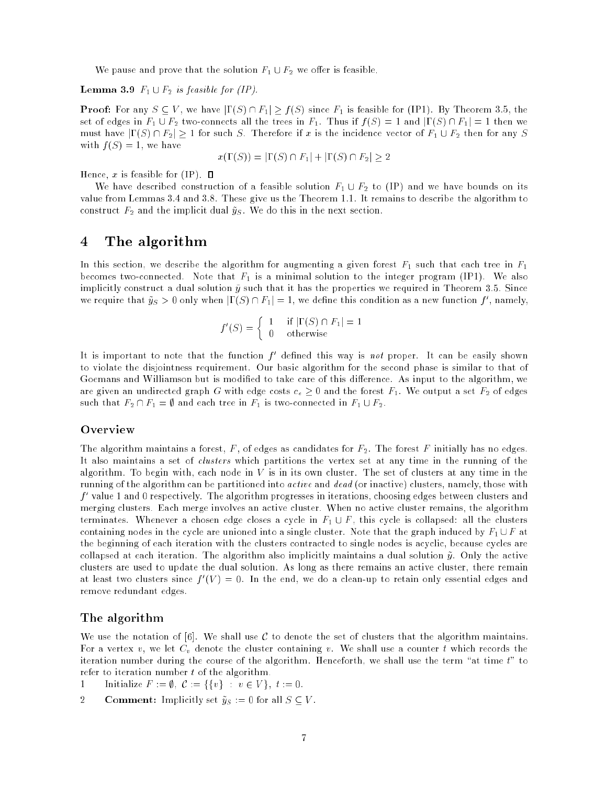We pause and prove that the solution  $F_1 \cup F_2$  we offer is feasible.

 $\blacksquare$  because  $\blacksquare$  is  $\blacksquare$  is followed for (i.e.  $\blacksquare$ ).

Proof: For any <sup>S</sup> <sup>V</sup> , we have j(S) \ F1j <sup>f</sup> (S) since F1 is feasible for (IP1). By Theorem 3.5, the set of edges in  $F_1 \cup F_2$  two-connects all the trees in  $F_1$ . Thus if  $f(S) = 1$  and  $|\Gamma(S) \cap F_1| = 1$  then we must have  $|\Gamma(S) \cap F_2| \ge 1$  for such S. Therefore if x is the incidence vector of  $F_1 \cup F_2$  then for any S with  $f(S) = 1$ , we have

$$
x(\Gamma(S)) = |\Gamma(S) \cap F_1| + |\Gamma(S) \cap F_2| \ge 2
$$

Hence,  $x$  is feasible for (IP).  $\square$ 

We have described construction of a feasible solution  $F_1 \cup F_2$  to (IP) and we have bounds on its value from Lemmas 3.4 and 3.8. These give us the Theorem 1.1. It remains to describe the algorithm to construct  $F_2$  and the implicit dual  $\tilde{y}_S$ . We do this in the next section.

## 4 The algorithm

In this section, we describe the algorithm for augmenting a given forest  $F_1$  such that each tree in  $F_1$ becomes two-connected. Note that  $F_1$  is a minimal solution to the integer program (IP1). We also implicitly construct a dual solution  $\tilde{y}$  such that it has the properties we required in Theorem 3.5. Since we require that  $y_S > 0$  only when  $|1 \left( S \right) | + |I| = 1$ , we define this condition as a new function f , hamely,

$$
f'(S) = \begin{cases} 1 & \text{if } |\Gamma(S) \cap F_1| = 1 \\ 0 & \text{otherwise} \end{cases}
$$

It is important to note that the function  $f$  -defined this way is not proper. It can be easily shown to violate the disjointness requirement. Our basic algorithm for the second phase is similar to that of Goemans and Williamson but is modified to take care of this difference. As input to the algorithm, we are given an undirected graph G with edge costs  $c_e \geq 0$  and the forest  $F_1$ . We output a set  $F_2$  of edges such that  $F_2 \cap F_1 = \emptyset$  and each tree in  $F_1$  is two-connected in  $F_1 \cup F_2$ .

#### Overview

The algorithm maintains a forest,  $F$ , of edges as candidates for  $F_2$ . The forest  $F$  initially has no edges. It also maintains a set of clusters which partitions the vertex set at any time in the running of the algorithm. To begin with, each node in V is in its own cluster. The set of clusters at any time in the running of the algorithm can be partitioned into *active* and *dead* (or inactive) clusters, namely, those with f 0 value 1 and 0 respectively. The algorithm progresses in iterations, choosing edges between clusters and merging clusters. Each merge involves an active cluster. When no active cluster remains, the algorithm terminates. Whenever a chosen edge closes a cycle in  $F_1 \cup F$ , this cycle is collapsed: all the clusters containing nodes in the cycle are unioned into a single cluster. Note that the graph induced by  $F_1 \cup F$  at the beginning of each iteration with the clusters contracted to single nodes is acyclic, because cycles are collapsed at each iteration. The algorithm also implicitly maintains a dual solution  $\tilde{y}$ . Only the active clusters are used to update the dual solution. As long as there remains an active cluster, there remain at least two clusters since  $f$  ( $V$ )  $=$  0. In the end, we do a clean-up to retain only essential edges and remove redundant edges.

#### The algorithm

We use the notation of [6]. We shall use  $\mathcal C$  to denote the set of clusters that the algorithm maintains. For a vertex v, we let  $C_v$  denote the cluster containing v. We shall use a counter t which records the iteration number during the course of the algorithm. Henceforth, we shall use the term "at time  $t$ " to refer to iteration number t of the algorithm.

- 1 Initialize  $F := \emptyset$ ,  $\mathcal{C} := \{\{v\} : v \in V\}, t := 0.$
- **2 Comment:** Implicitly set  $\tilde{y}_S := 0$  for all  $S \subseteq V$ .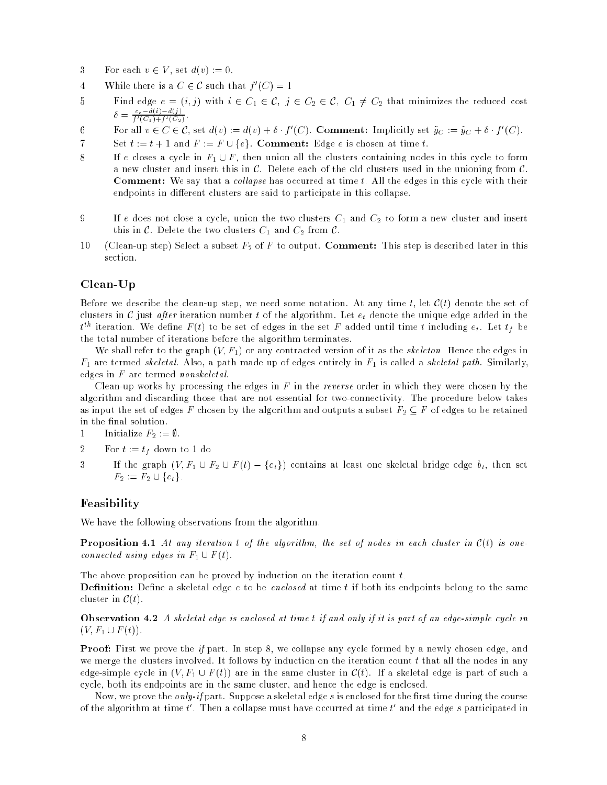- 3 For each  $v \in V$ , set  $d(v) := 0$ .
- $4$  While there is a  $\cup \in \mathcal{C}$  such that f  $\sim$  1  $-$
- $\delta = \frac{c_e d(i) d(j)}{f'(C_1) + f'(C_2)}$ .
- o for all  $v \in C$   $\in$  C, set  $a(v) := a(v) + o$   $f(C)$ . Comment: implicitly set  $y_C := y_C + o$   $f(C)$ .
- 7 Set  $t := t + 1$  and  $F := F \cup \{e\}$ . Comment: Edge e is chosen at time t.
- 8 If e closes a cycle in  $F_1 \cup F$ , then union all the clusters containing nodes in this cycle to form a new cluster and insert this in  $\mathcal{C}$ . Delete each of the old clusters used in the unioning from  $\mathcal{C}$ . Comment: We say that a col lapse has occurred at time t. All the edges in this cycle with their endpoints in different clusters are said to participate in this collapse.
- 9 If e does not close a cycle, union the two clusters  $C_1$  and  $C_2$  to form a new cluster and insert this in C. Delete the two clusters  $C_1$  and  $C_2$  from C.
- 10 (Clean-up step) Select a subset  $F_2$  of F to output. Comment: This step is described later in this section.

#### Clean-Up

Before we describe the clean-up step, we need some notation. At any time t, let  $\mathcal{C}(t)$  denote the set of clusters in C just after iteration number t of the algorithm. Let  $e_t$  denote the unique edge added in the  $t^{th}$  iteration. We define  $F(t)$  to be set of edges in the set  $F$  added until time  $t$  including  $e_t$ . Let  $t_f$  be the total number of iterations before the algorithm terminates.

We shall refer to the graph  $(V, F_1)$  or any contracted version of it as the *skeleton*. Hence the edges in  $F_1$  are termed skeletal. Also, a path made up of edges entirely in  $F_1$  is called a skeletal path. Similarly, edges in F are termed nonskeletal.

Clean-up works by processing the edges in  $F$  in the reverse order in which they were chosen by the algorithm and discarding those that are not essential for two-connectivity. The procedure below takes as input the set of edges F chosen by the algorithm and outputs a subset  $F_2 \subseteq F$  of edges to be retained in the final solution.

1 Initialize 
$$
F_2 := \emptyset
$$
.

- 2 For  $t := t_f$  down to 1 do
- 3 If the graph  $(V, F_1 \cup F_2 \cup F(t) \{e_t\})$  contains at least one skeletal bridge edge  $b_t$ , then set  $F_2 := F_2 \cup \{e_t\}.$

#### Feasibility

We have the following observations from the algorithm.

Proposition 4.1 At any iteration t of the algorithm, the set of nodes in each cluster in C(t) is oneconnected using edges in  $F_1 \cup F(t)$ .

The above proposition can be proved by induction on the iteration count t.

Denition: Dene a skeletal edge e to be enclosed at time t if both its endpoints belong to the same cluster in  $\mathcal{C}(t)$ .

Observation 4.2 A skeletal edge is enclosed at time t if and only if it is part of an edge-simple cycle in  $(V, F_1 \cup F(t)).$ 

Proof: First we prove the if part. In step 8, we collapse any cycle formed by a newly chosen edge, and we merge the clusters involved. It follows by induction on the iteration count  $t$  that all the nodes in any edge-simple cycle in  $(V, F_1 \cup F(t))$  are in the same cluster in  $\mathcal{C}(t)$ . If a skeletal edge is part of such a cycle, both its endpoints are in the same cluster, and hence the edge is enclosed.

Now, we prove the *only-if* part. Suppose a skeletal edge s is enclosed for the first time during the course of the argorithm at time  $t$  . Then a collapse must have occurred at time  $t$  and the edge  $s$  participated in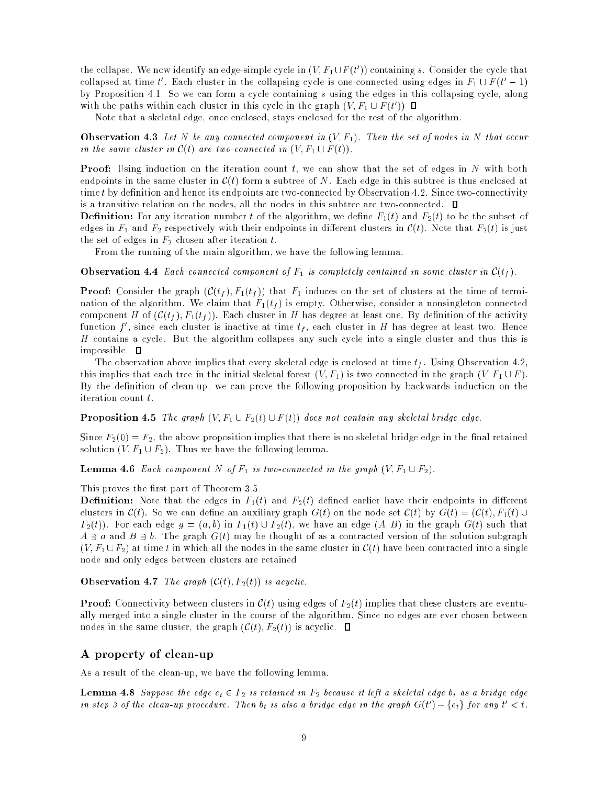the collapse. We now identify an edge-simple cycle in  $(V, F_1 \cup F_1)$  containing  $s$ . Consider the cycle that conapsed at time  $t$  . Each cluster in the conapsing cycle is one-connected using edges in  $F_1 \cup F$  ( $t = 1$ ) by Proposition 4.1. So we can form a cycle containing s using the edges in this collapsing cycle, along with the paths within each cluster in this cycle in the graph  $(V, F_1 \cup F_2)$ 

Note that a skeletal edge, once enclosed, stays enclosed for the rest of the algorithm.

Observation 4.3 Let N be any connected component in (V; F1). Then the set of nodes in N that occur in the same cluster in  $C(t)$  are two-connected in  $(V, F_1 \cup F(t))$ .

Proof: Using induction on the iteration count t, we can show that the set of edges in N with both endpoints in the same cluster in  $\mathcal{C}(t)$  form a subtree of N. Each edge in this subtree is thus enclosed at time t by definition and hence its endpoints are two-connected by Observation 4.2. Since two-connectivity is a transitive relation on the nodes, all the nodes in this subtree are two-connected.  $\Box$ 

 $\blacksquare$  is formed the algorithm number to the algorithm, we define  $\blacksquare$  (t) and  $\blacksquare$   $\lambda_1$  to be the subset of edges in  $F_1$  and  $F_2$  respectively with their endpoints in different clusters in  $\mathcal{C}(t)$ . Note that  $F_2(t)$  is just the set of edges in  $F_2$  chosen after iteration t.

From the running of the main algorithm, we have the following lemma.

**Observation 4.4** Each connected component of  $r_1$  is completely contained in some cluster in  $C(t_f)$ .

**Proof:** Consider the graph  $(C(\ell_f), F_1(\ell_f))$  that  $F_1$  induces on the set of clusters at the time of termination of the algorithm. We claim that  $F_1(t_f)$  is empty. Otherwise, consider a nonsingleton connected component H of  $(\mathcal{C}(t_f), F_1(t_f))$ . Each cluster in H has degree at least one. By definition of the activity function  $f$  , since each cluster is inactive at time  $t_f$ , each cluster in  $H$  has degree at least two. Hence H contains a cycle. But the algorithm collapses any such cycle into a single cluster and thus this is impossible. **D** 

The observation above implies that every skeletal edge is enclosed at time  $t_f$ . Using Observation 4.2, this implies that each tree in the initial skeletal forest  $(V, F_1)$  is two-connected in the graph  $(V, F_1 \cup F)$ . By the definition of clean-up, we can prove the following proposition by backwards induction on the iteration count t.

 $\blacksquare$  Proposition 4.5  $\blacksquare$  Fine graph (V)  $\blacksquare$   $\blacksquare$   $\blacksquare$   $\blacksquare$  (V)) does not contain any skeletal bridge edge.

Since  $F_2(0) = F_2$ , the above proposition implies that there is no skeletal bridge edge in the final retained solution  $(V, F_1 \cup F_2)$ . Thus we have the following lemma.

Lemma 4.6 Each component <sup>N</sup> of F1 is two-connected in the graph (V; F1 [ F2).

This proves the first part of Theorem 3.5.

 $\blacksquare$  decreases in the edges in F1(t) and F2(t) decreases the control end of the distribution clusters in  $\mathcal{C}(t)$ . So we can define an auxiliary graph  $G(t)$  on the node set  $\mathcal{C}(t)$  by  $G(t) = (\mathcal{C}(t), F_1(t) \cup$  $F_2(t)$ ). For each edge  $g = (a, b)$  in  $F_1(t) \cup F_2(t)$ , we have an edge  $(A, B)$  in the graph  $G(t)$  such that  $A \ni a$  and  $B \ni b$ . The graph  $G(t)$  may be thought of as a contracted version of the solution subgraph  $(V, F_1 \cup F_2)$  at time t in which all the nodes in the same cluster in  $\mathcal{C}(t)$  have been contracted into a single node and only edges between clusters are retained.

Observation 4.7 The graph (C(t); F2(t)) is acyclic.

 $P$ roof: Connectivity between clusters in  $\bullet$  (t) using edges of F2(t) implies that these clusters are eventually merged into a single cluster in the course of the algorithm. Since no edges are ever chosen between nodes in the same cluster, the graph  $(\mathcal{C}(t), F_2(t))$  is acyclic.  $\Box$ 

#### A property of clean-up

As a result of the clean-up, we have the following lemma.

**Lemma 4.8** Suppose the edge  $e_t \in$  F<sub>2</sub> is retained in F<sub>2</sub> because it left a skeletal edge b<sub>t</sub> as a bridge edge in step 5 of the clean-up procedure. Then  $v_t$  is also a bridge edge in the graph  $G(t^-) = \{e_t\}$  for any  $t^- < t$ .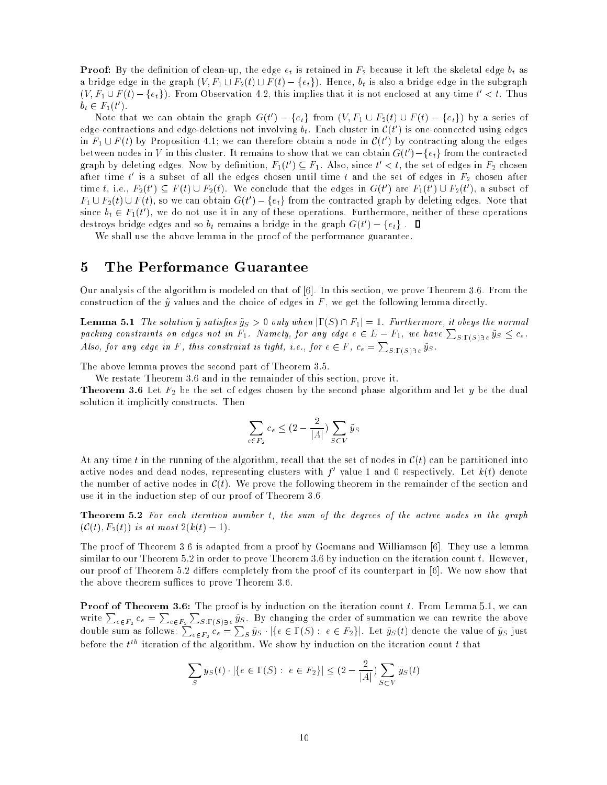**Proof:** By the definition of clean-up, the edge  $e_t$  is retained in  $r_2$  because it left the skeletal edge  $v_t$  as a bridge edge in the graph  $(V, F_1 \cup F_2(t) \cup F(t) - \{e_t\})$ . Hence,  $b_t$  is also a bridge edge in the subgraph  $(V, F_1 \cup F_2) = \{e_t\})$ . From Observation 4.2, this implies that it is not enclosed at any time  $t < t$ . Thus  $v_t$   $\in$   $r_1$  (*t*).

Note that we can obtain the graph  $G(t) = \{e_t\}$  from  $(V, F_1 \cup F_2(t) \cup F(t) = \{e_t\})$  by a series of edge-contractions and edge-defetions not involving  $v_t$ . Each cluster in  $C(t_{-})$  is one-connected using edges In  $r_1 \cup r_1$  by Proposition 4.1; we can therefore obtain a hode in  $C(t)$  by contracting along the edges between nodes in V in this cluster. It remains to show that we can obtain  $G(t^-) = \{e_t\}$  from the contracted graph by defetting edges. Now by definition,  $F_1(t) \subseteq F_1$ . Also, since  $t < t$ , the set of edges in  $F_2$  chosen after time  $\tau$  is a subset of all the edges chosen until time  $\tau$  and the set of edges in  $F_2$  chosen after time t, i.e.,  $F_2(t) \subseteq F(t) \cup F_2(t)$ . We conclude that the edges in  $G(t)$  are  $F_1(t) \cup F_2(t)$ , a subset of  $r_1 \cup r_2(t) \cup r_1(t),$  so we can obtain  $G(t') - \{e_t\}$  from the contracted graph by defeting edges. Note that since  $v_t \in r_1(t)$ , we do not use it in any of these operations. Furthermore, neither of these operations destroys bridge edges and so  $\theta_t$  remains a bridge in the graph  $G(t^-) = \{e_t\}$  .

We shall use the above lemma in the proof of the performance guarantee.

#### 5 The Performance Guarantee

Our analysis of the algorithm is modeled on that of [6]. In this section, we prove Theorem 3.6. From the construction of the  $\tilde{y}$  values and the choice of edges in F, we get the following lemma directly.

**Lemma 5.1** The solution  $y~s$  satisfies  $y_S > 0$  only when  $|1 \, (S) \, |1 \, |T_1| = 1$ . Furthermore, it obeys the normal packing constraints on edges not in  $F_1$ . Namely, for any edge  $e \in E - F_1$ , we have  $\sum_{S:\Gamma(S)\ni e} \tilde{y}_S \leq c_e$ . Also, for any edge in F, this constraint is tight, i.e., for  $e \in F$ ,  $c_e = \sum_{S:\Gamma(S)\ni e} \tilde{y}_S$ .

The above lemma proves the second part of Theorem 3.5.

We restate Theorem 3.6 and in the remainder of this section, prove it.

 $T$  , and set of each  $\frac{1}{2}$  be the set of edges chosen by the second phase algorithm and let  $y$  be the dual solution it implicitly constructs. Then

$$
\sum_{e \in F_2} c_e \le (2 - \frac{2}{|A|}) \sum_{S \subset V} \tilde{y}_S
$$

At any time t in the running of the algorithm, recall that the set of nodes in  $\mathcal{C}(t)$  can be partitioned into active hodes and dead hodes, representing clusters with  $f$  -value 1 and 0 respectively. Let  $\kappa(t)$  denote the number of active nodes in  $\mathcal{C}(t)$ . We prove the following theorem in the remainder of the section and use it in the induction step of our proof of Theorem 3.6.

Theorem 5.2 For each iteration number t, the sum of the degrees of the active nodes in the graph  $(C(t), F_2(t))$  is at most  $2(k(t) - 1)$ .

The proof of Theorem 3.6 is adapted from a proof by Goemans and Williamson [6]. They use a lemma similar to our Theorem 5.2 in order to prove Theorem 3.6 by induction on the iteration count t. However, our proof of Theorem 5.2 differs completely from the proof of its counterpart in [6]. We now show that the above theorem suffices to prove Theorem 3.6.

Proof of Theorem 3.6: The proof is by induction on the iteration count t. From Lemma 5.1, we can write  $\sum_{e\in F_2}c_e=\sum_{e\in F_2}\sum_{S:\Gamma(S)e}\tilde{y}_S$ . By changing the order of summation we can rewrite the above double sum as follows:  $\sum_{e\in F_2}c_e=\sum_S \tilde{y}_S\cdot|\{e\in \Gamma(S):\ e\in F_2\}|.$  Let  $\tilde{y}_S(t)$  denote the value of  $\tilde{y}_S$  just before the  $t^{th}$  iteration of the algorithm. We show by induction on the iteration count t that

$$
\sum_{S} \tilde{y}_{S}(t) \cdot |\{e \in \Gamma(S) : e \in F_2\}| \le (2 - \frac{2}{|A|}) \sum_{S \subset V} \tilde{y}_{S}(t)
$$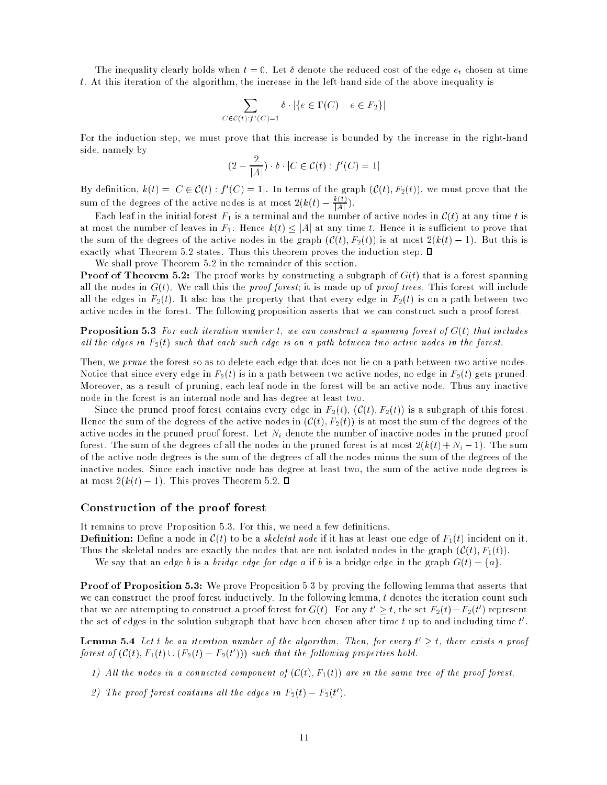The inequality clearly holds when  $t = 0$ . Let  $\delta$  denote the reduced cost of the edge  $e_t$  chosen at time t. At this iteration of the algorithm, the increase in the left-hand side of the above inequality is

$$
\sum_{C \in \mathcal{C}(t): f'(C) = 1} \delta \cdot |\{e \in \Gamma(C) : e \in F_2\}|
$$

For the induction step, we must prove that this increase is bounded by the increase in the right-hand side, namely by

$$
(2 - \frac{2}{|A|}) \cdot \delta \cdot |C \in \mathcal{C}(t) : f'(C) = 1|
$$

By definition,  $k(t) = |C| \in C(t)$  :  $f(C) = 1$ . In terms of the graph (C(t),  $F_2(t)$ ), we must prove that the sum of the degrees of the active nodes is at most  $2(k(t) - \frac{k(t)}{|A|})$ .

Each leaf in the initial forest  $F_1$  is a terminal and the number of active nodes in  $\mathcal{C}(t)$  at any time t is at most the number of leaves in  $F_1$ . Hence  $k(t) \leq |A|$  at any time t. Hence it is sufficient to prove that the sum of the degrees of the active nodes in the graph  $(\mathcal{C}(t), F_2(t))$  is at most  $2(k(t) - 1)$ . But this is exactly what Theorem 5.2 states. Thus this theorem proves the induction step.  $\square$ 

We shall prove Theorem 5.2 in the remainder of this section.

Proof of Theorem 5.2: The proof works by constructing a subgraph of G(t) that is a forest spanning all the nodes in  $G(t)$ . We call this the proof forest; it is made up of proof trees. This forest will include all the edges in  $F_2(t)$ . It also has the property that that every edge in  $F_2(t)$  is on a path between two active nodes in the forest. The following proposition asserts that we can construct such a proof forest.

Proposition 5.3 For each iteration number t, we can construct a spanning forest of G(t) that includes all the edges in  $F_2(t)$  such that each such edge is on a path between two active nodes in the forest.

Then, we prune the forest so as to delete each edge that does not lie on a path between two active nodes. Notice that since every edge in  $F_2(t)$  is in a path between two active nodes, no edge in  $F_2(t)$  gets pruned. Moreover, as a result of pruning, each leaf node in the forest will be an active node. Thus any inactive node in the forest is an internal node and has degree at least two.

Since the pruned proof forest contains every edge in  $F_2(t)$ ,  $(\mathcal{C}(t), F_2(t))$  is a subgraph of this forest. Hence the sum of the degrees of the active nodes in  $(C(t), F_2(t))$  is at most the sum of the degrees of the active nodes in the pruned proof forest. Let  $N_i$  denote the number of inactive nodes in the pruned proof forest. The sum of the degrees of all the nodes in the pruned forest is at most  $2(k(t) + N<sub>i</sub> - 1)$ . The sum of the active node degrees is the sum of the degrees of all the nodes minus the sum of the degrees of the inactive nodes. Since each inactive node has degree at least two, the sum of the active node degrees is at most  $2(k(t)-1)$ . This proves Theorem 5.2.  $\Box$ 

#### Construction of the proof forest

It remains to prove Proposition 5.3. For this, we need a few definitions.

Denition: Dene a node in C(t) to be a skeletal node if it has at least one edge of F1(t) incident on it.

Thus the skeletal nodes are exactly the nodes that are not isolated nodes in the graph  $(\mathcal{C}(t), F_1(t))$ .

We say that an edge b is a bridge edge for edge a if b is a bridge edge in the graph  $G(t) - \{a\}$ .

Proof of Proposition 5.3: We prove Proposition 5.3 by proving the following lemma that asserts that we can construct the proof forest inductively. In the following lemma, t denotes the iteration count such that we are attempting to construct a proof forest for  $G(t)$ . For any  $t > t$ , the set  $F_2(t) - F_2(t)$  ) represent the set of edges in the solution subgraph that have been chosen after time  $t$  up to and including time  $t$  .

 ${\bf L}$ emma 5.4 Let t be an iteration number of the algorithm. Then, for every t  $>$ t, there exists a proof forest  $\vartheta$ f(U(t),  $F_1(t) \cup (F_2(t) - F_2(t)))$  such that the following properties hold.

- 1) All the nodes in a connected component of  $(C(t), F_1(t))$  are in the same tree of the proof forest.
- $z$ ) the proof forest contains all the eages in  $F_2(t) = F_2(t)$ .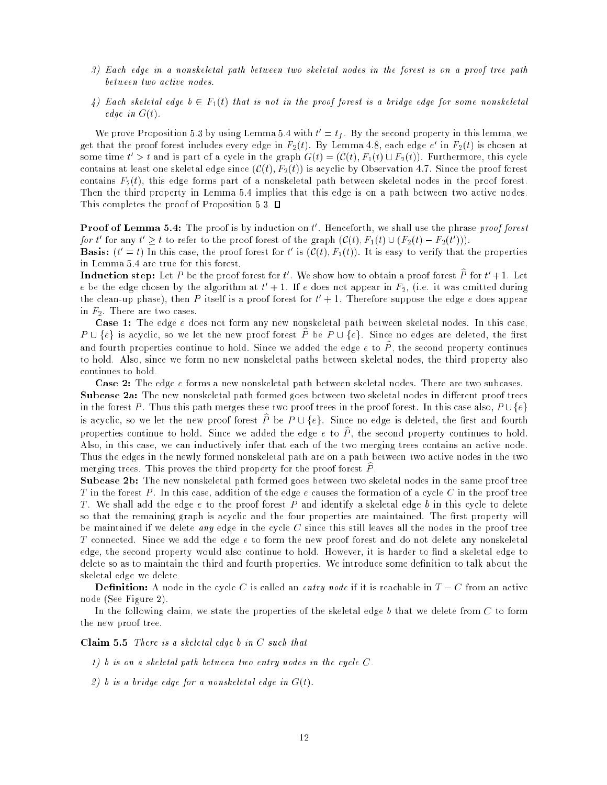- 3) Each edge in a nonskeletal path between two skeletal nodes in the forest is on a proof tree path between two active nodes.
- 4) Each skeletal edge  $b \in F_1(t)$  that is not in the proof forest is a bridge edge for some nonskeletal edge in  $G(t)$ .

We prove Proposition 5.3 by using Lemma 5.4 with  $t = t_f$ . By the second property in this lemma, we get that the proof forest includes every edge in  $F_2(t)$ . By Lemma 4.8, each edge  $e$  in  $F_2(t)$  is chosen at some time  $t > t$  and is part of a cycle in the graph  $G(t) = (C(t), F_1(t) \cup F_2(t))$ . Furthermore, this cycle contains at least one skeletal edge since  $(\mathcal{C}(t), F_2(t))$  is acyclic by Observation 4.7. Since the proof forest contains  $F_2(t)$ , this edge forms part of a nonskeletal path between skeletal nodes in the proof forest. Then the third property in Lemma 5.4 implies that this edge is on a path between two active nodes. This completes the proof of Proposition 5.3.  $\Box$ 

**Proof of Lemma 5.4:** The proof is by induction on  $t$  , Henceforth, we shall use the phrase *proof forest* for a for any  $t \geq t$  to refer to the proof forest of the graph  $(C(t), F_1(t) \cup (F_2(t) - F_2(t)))$ .

**Dasis:**  $(t = t)$  in this case, the proof forest for t is  $(U(t), T_1(t))$ . It is easy to verify that the properties in Lemma 5.4 are true for this forest.

**Induction step:** Let P be the proof forest for  $t$  . We show how to obtain a proof forest P for  $t + 1$ . Let  $e$  be the edge chosen by the algorithm at  $t\; +$  1. If  $e$  does not appear in  $F_2,$  (i.e. it was omitted during the clean-up phase), then P itself is a proof forest for  $t + 1$ . Therefore suppose the edge  $e$  does appear in  $F_2$ . There are two cases.

Case 1: The edge e does not form any new nonskeletal path between skeletal nodes. In this case,  $P \cup \{e\}$  is acyclic, so we let the new proof forest  $\widehat{P}$  be  $P \cup \{e\}$ . Since no edges are deleted, the first and fourth properties continue to hold. Since we added the edge  $e$  to  $\hat{P}$ , the second property continues to hold. Also, since we form no new nonskeletal paths between skeletal nodes, the third property also continues to hold.

Case 2: The edge e forms a new nonskeletal path between skeletal nodes. There are two subcases. Subcase 2a: The new nonskeletal path formed goes between two skeletal nodes in dierent proof trees in the forest P. Thus this path merges these two proof trees in the proof forest. In this case also,  $P \cup \{e\}$ is acyclic, so we let the new proof forest  $\hat{P}$  be  $P \cup \{e\}$ . Since no edge is deleted, the first and fourth properties continue to hold. Since we added the edge  $e$  to  $\hat{P}$ , the second property continues to hold. Also, in this case, we can inductively infer that each of the two merging trees contains an active node. Thus the edges in the newly formed nonskeletal path are on a path between two active nodes in the two merging trees. This proves the third property for the proof forest  $P$ .

Subcase 2b: The new nonskeletal path formed goes between two skeletal nodes in the same proof tree T in the forest P. In this case, addition of the edge e causes the formation of a cycle C in the proof tree T. We shall add the edge  $\epsilon$  to the proof forest P and identify a skeletal edge b in this cycle to delete so that the remaining graph is acyclic and the four properties are maintained. The first property will be maintained if we delete *any* edge in the cycle  $C$  since this still leaves all the nodes in the proof tree T connected. Since we add the edge  $e$  to form the new proof forest and do not delete any nonskeletal edge, the second property would also continue to hold. However, it is harder to find a skeletal edge to delete so as to maintain the third and fourth properties. We introduce some definition to talk about the skeletal edge we delete.

Denition: A node in the cycle C is called an entry node if it is reachable in T C from an active node (See Figure 2).

In the following claim, we state the properties of the skeletal edge b that we delete from  $C$  to form the new proof tree.

Claim 5.5 There is a skeletal edge b in C such that

1) b is on a skeletal path between two entry nodes in the cycle C.

2) b is a bridge edge for a nonskeletal edge in  $G(t)$ .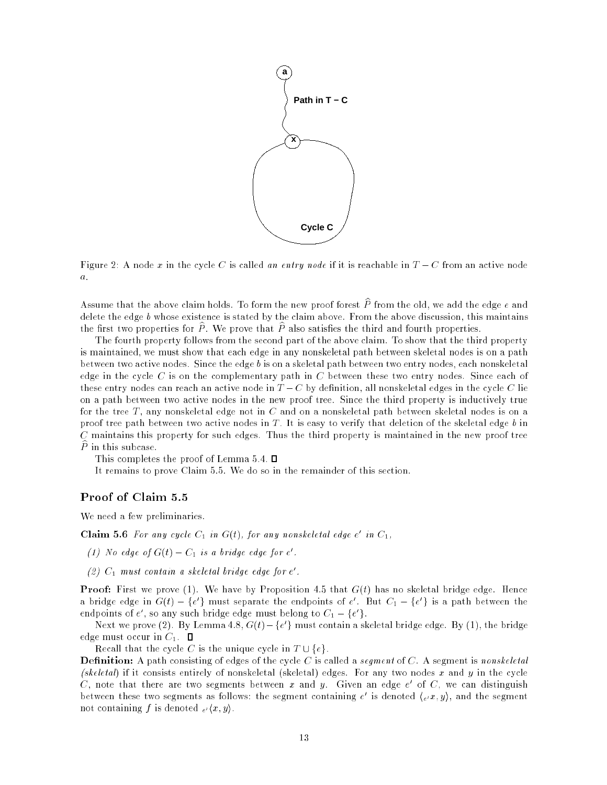

Figure 2: A node x in the cycle C is called an entry node if it is reachable in  $T - C$  from an active node a.

Assume that the above claim holds. To form the new proof forest  $\hat{P}$  from the old, we add the edge e and delete the edge b whose existence is stated by the claim above. From the above discussion, this maintains the first two properties for  $\tilde{P}$ . We prove that  $\tilde{P}$  also satisfies the third and fourth properties.

The fourth property follows from the second part of the above claim. To show that the third property is maintained, we must show that each edge in any nonskeletal path between skeletal nodes is on a path between two active nodes. Since the edge b is on a skeletal path between two entry nodes, each nonskeletal edge in the cycle  $C$  is on the complementary path in  $C$  between these two entry nodes. Since each of these entry nodes can reach an active node in  $T - C$  by definition, all nonskeletal edges in the cycle C lie on a path between two active nodes in the new proof tree. Since the third property is inductively true for the tree  $T$ , any nonskeletal edge not in  $C$  and on a nonskeletal path between skeletal nodes is on a proof tree path between two active nodes in  $T$ . It is easy to verify that deletion of the skeletal edge  $b$  in  $C$  maintains this property for such edges. Thus the third property is maintained in the new proof tree  $\widehat{P}$  in this subcase.

This completes the proof of Lemma 5.4.  $\square$ 

It remains to prove Claim 5.5. We do so in the remainder of this section.

We need a few preliminaries.

**Claim 5.6** For any cycle  $C_1$  in G(t), for any nonskeletal eage e in  $C_1$ ,

(1) we eage of  $G(t) = C_1$  is a briage eage for e.

 $(z)$   $\cup$  must contain a sketetat bridge edge for e.

Proof: First we prove (1). We have by Proposition 4.5 that G(t) has no skeletal bridge edge. Hence a pridge edge in  $G(t)=\{e\}$  must separate the endpoints of  $e$  . But  $C_1=\{e\}$  is a path between the endpoints of  $e$  , so any such bridge edge must belong to  $C_1 = \{e\}$ .

Next we prove (2). By Lemma 4.8, G(t) = {e } must contain a skeletal bridge edge. By (1), the bridge edge must occur in  $C_1$ .  $\square$ 

Recall that the cycle C is the unique cycle in  $T \cup \{e\}$ .

 $\blacksquare$  called  $\blacksquare$  . A path consisting of edges of the cycle  $C$  is called a segment of  $C$  is a segment is nonskeletal (skeletal) if it consists entirely of nonskeletal (skeletal) edges. For any two nodes x and y in the cycle  $C$ , note that there are two segments between  $x$  and  $y$ . Given an edge  $e$  of  $C$ , we can distinguish between these two segments as follows: the segment containing  $e$  is denoted  $\chi_e(x, y)$ , and the segment not containing f is denoted  $e^{i\langle x, y \rangle}$ .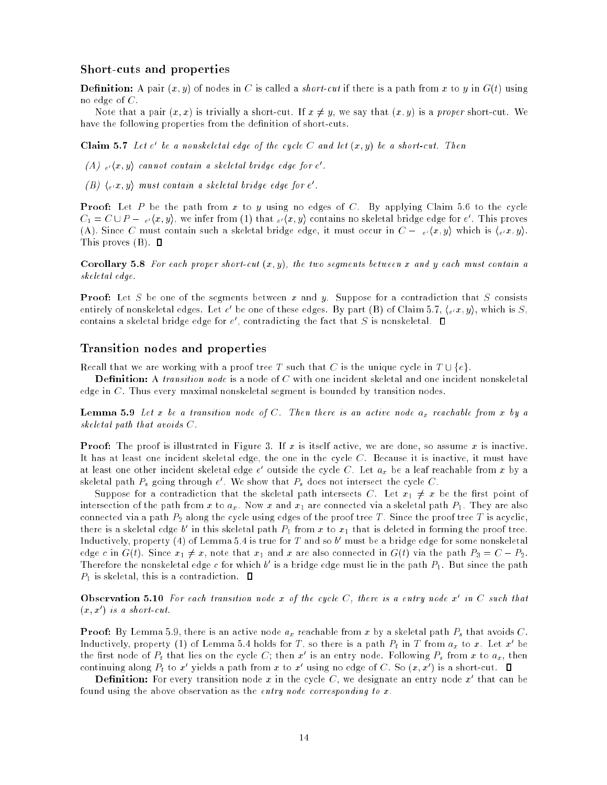#### Short-cuts and properties

Denition: A pair (x; y) of nodes in C is called a short-cut if there is a path from x to y in G(t) using no edge of  $C$ .

Note that a pair  $(x, x)$  is trivially a short-cut. If  $x \neq y$ , we say that  $(x, y)$  is a proper short-cut. We have the following properties from the definition of short-cuts.

 $\bf{Uram\ 5.7}$  Let e be a nonskeletal eage of the cycle  $C$  and let  $(x,y)$  be a short-cut. Then

 $(A \cup e^{\prime}(x, y))$  cannot contain a skeletal briage eage for example  $B$ 

(B)  $\langle e^{\mu}x, y \rangle$  must contain a skeletal bridge edge for e.

Proof: Let P be the path from x to y using no edges of C. By applying Claim 5.6 to the cycle  $C_1 = C \cup P = \frac{e}{\sqrt{x}}, y$ , we infer from (1) that  $\frac{e}{\sqrt{x}}, y$  contains no skeletal bridge edge for  $e$  . This proves (A). Since C must contain such a skeletal bridge edge, it must occur in  $C = \frac{e}{x}, \frac{y}{y}$ , which is  $\frac{y}{x}, \frac{y}{y}$ . This proves  $(B)$ .  $\Box$ 

Corollary 5.8 For each proper short-cut (x; y), the two segments between x and y each must contain a skeletal edge.

Proof: Let S be one of the segments between x and y. Suppose for a contradiction that S consists entirely of nonskeletal edges. Let  $e$  be one of these edges. By part (B) of Claim 5.7, ( $e^{\tau}x, y$ ), which is S, contains a skeletal bridge edge for  $e$  , contradicting the fact that  $S$  is nonskeletal.

#### Transition nodes and properties

Recall that we are working with a proof tree T such that C is the unique cycle in  $T \cup \{e\}$ .

edge in C. Thus every maximal nonskeletal segment is bounded by transition nodes.

**Lemma 5.9** Let x be a transition node of  $C$ . Then there is an active node a<sub>x</sub> reachable from x by a skeletal path that avoids C.

Proof: The proof is illustrated in Figure 3. If x is itself active, we are done, so assume x is inactive. It has at least one incident skeletal edge, the one in the cycle C. Because it is inactive, it must have at least one other incident skeletal edge  $e$  -outside the cycle  $C$ . Let  $a_x$  be a leaf reachable from  $x$  by a skeletal path  $P_s$  going through  $e$  . We show that  $P_s$  does not intersect the cycle  $C$  .

Suppose for a contradiction that the skeletal path intersects C. Let  $x_1 \neq x$  be the first point of intersection of the path from x to  $a_x$ . Now x and  $x_1$  are connected via a skeletal path  $P_1$ . They are also connected via a path  $P_2$  along the cycle using edges of the proof tree T. Since the proof tree T is acyclic, there is a skeletal edge  $v$  in this skeletal path  $P_1$  from  $x$  to  $x_1$  that is deleted in forming the proof tree. Inductively, property (4) of Lemma 5.4 is true for T and so b 0 must be a bridge edge for some nonskeletal edge c in  $G(t)$ . Since  $x_1 \neq x$ , note that  $x_1$  and x are also connected in  $G(t)$  via the path  $P_3 = C - P_2$ . Therefore the nonskeletal edge c for which b is a bridge edge must lie in the path  $P_1$ . But since the path  $P_1$  is skeletal, this is a contradiction.  $\Box$ 

**Observation 5.10** For each transition node x of the cycle  $C$ , there is a entry node x in  $C$  such that (x; x<sup>0</sup> ) is a short-cut.

**Proof:** By Extinita 5.9, there is an active node  $a_x$  reachable from x by a skeletal path  $P_s$  that avoids  $C$ . Inductively, property (1) of Lemma 5.4 holds for 1, so there is a path  $P_t$  in T from  $a_x$  to x. Let x be the first node of  $P_t$  that lies on the cycle  $\cup$ ; then x is an entry node. Following  $P_s$  from x to  $a_x$ , then continuing along  $P_t$  to x yields a path from x to x using no edge of C. So (x, x) is a short-cut.

**Definition:** For every transition node  $x$  in the cycle U, we designate an entry node  $x$  that can be found using the above observation as the entry node corresponding to x.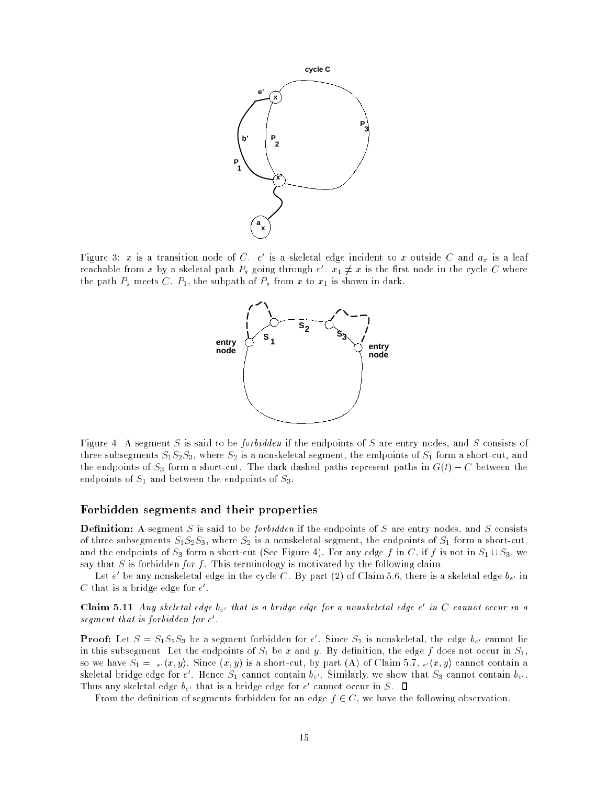

Figure 3:  $x$  is a transition node of C.  $e$  is a skeletal edge incident to  $x$  outside C and  $a_x$  is a leaf reachable from x by a skeletal path  $P_s$  going through  $e$  ,  $x_1 \neq x$  is the first node in the cycle  $C$  where the path  $P_s$  meets C.  $P_1$ , the subpath of  $P_s$  from x to  $x_1$  is shown in dark.



Figure 4: A segment S is said to be *forbidden* if the endpoints of S are entry nodes, and S consists of three subsegments  $S_1S_2S_3$ , where  $S_2$  is a nonskeletal segment, the endpoints of  $S_1$  form a short-cut, and the endpoints of  $S_3$  form a short-cut. The dark dashed paths represent paths in  $G(t) - C$  between the endpoints of  $S_1$  and between the endpoints of  $S_3$ .

#### Forbidden segments and their properties

Denition: A segment S is said to be forbidden if the endpoints of S are entry nodes, and S consists of three subsegments  $S_1S_2S_3$ , where  $S_2$  is a nonskeletal segment, the endpoints of  $S_1$  form a short-cut, and the endpoints of  $S_3$  form a short-cut (See Figure 4). For any edge f in C, if f is not in  $S_1 \cup S_3$ , we say that S is forbidden for f. This terminology is motivated by the following claim.

Let  $e$  be any nonskeletal edge in the cycle U . By part (2) of Ulaim 5.6, there is a skeletal edge  $\theta_{e'}$  in  $\cup$  that is a bridge edge for  $e$  .

**Claim 5.11** Any skeletal eage  $v_{e'}$  that is a bridge eage for a nonskeletal eage  $e^-$  in C cannot occur in a segment that is forbidden for e.

**Proof:** Let  $S = S_1 S_2 S_3$  be a segment forbidden for e. Since  $S_2$  is nonskeletal, the edge  $\theta_e$  cannot fie in this subsegment. Let the endpoints of  $S_1$  be x and y. By definition, the edge f does not occur in  $S_1$ , so we have  $S_1 = e(\langle x, y \rangle)$ . Since  $(x, y)$  is a short-cut, by part (A) of Claim 5.7,  $e(\langle x, y \rangle)$  cannot contain a skeletal bridge edge for  $e$  . Hence  $S_1$  cannot contain  $\theta_{e'}$ . Similarly, we show that  $S_3$  cannot contain  $\theta_{e'}$ . Thus any skeletal edge  $v_{e'}$  that is a bridge edge for e-cannot occur in S.

From the definition of segments forbidden for an edge  $f \in C$ , we have the following observation.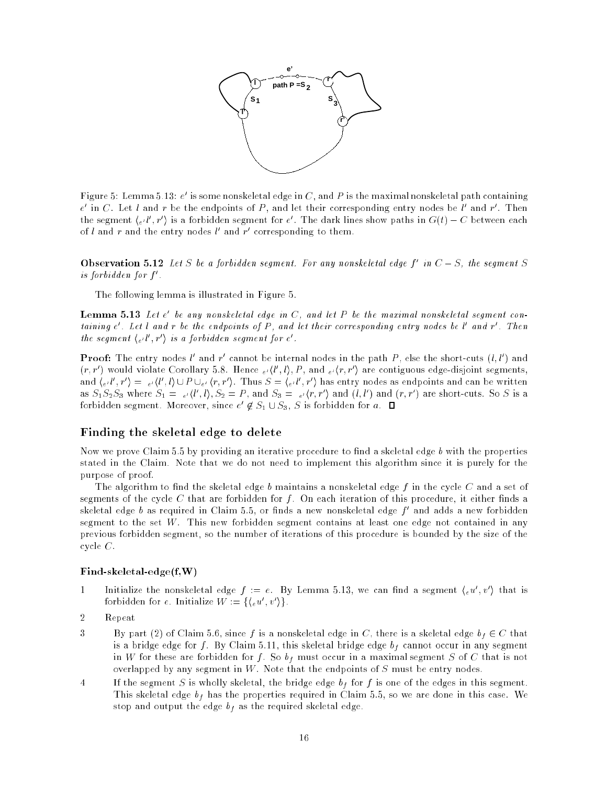

Figure 5: Lemma 5.13:  $e$  is some nonskeletal edge in  $\cup$  , and  $P$  is the maximal nonskeletal path containing  $e$  in U. Let  $\iota$  and  $r$  be the endpoints of  $P$  , and let their corresponding entry nodes be  $\iota$  and  $r$  . Then the segment  $(e^{t}, r)$  is a forbidden segment for  $e$  . The dark lines show paths in  $G(t) = C$  between each of l and r and the entry nodes l and r corresponding to them.

**Observation 5.12** Let S be a forbiaden segment, for any nonskeletal eage f in  $C = S$ , the segment S is forbidden for f 0 .

The following lemma is illustrated in Figure 5.

 ${\bf L}$ emma 5.15 Let  $e$  ve any nonskeletal eage in  $\infty$ , and let  $F$  ve the maximal nonskeletal segment containing e . Let t and r ve the enapoints of r , and tet their corresponding entry nodes ve t and r . Inen the segment  $\{e^{it}, r\}$  is a forbidden segment for e.

**Proof:** The entry nodes  $\iota$  and  $r$  cannot be internal nodes in the path  $P$ , else the short-cuts  $(\iota, \iota)$  and  $(r, r$  ) would violate Corollary 5.8. Hence  ${}_{e'}(t_1, t)$ ,  $P$  , and  ${}_{e'}(r, r$  ) are contiguous edge-disjoint segments, and  $\chi_e(t, r) = e(\tau, t) \cup P \cup_{e'} (r, r)$ . Thus  $S = \chi_{e'}(t, r)$  has entry nodes as endpoints and can be written as  $S_1S_2S_3$  where  $S_1 = \frac{1}{e'}(l_1, l_1, S_2 = P$ , and  $S_3 = \frac{1}{e'}(T, T)$  and  $(l_1, l_2)$  and  $(T, T)$  are short-cuts. So S is a forbidden segment. Moreover, since  $e^- \not\in S_1 \cup S_3$ ,  $S$  is forbidden for  $a$ .

#### Finding the skeletal edge to delete

Now we prove Claim  $5.5$  by providing an iterative procedure to find a skeletal edge b with the properties stated in the Claim. Note that we do not need to implement this algorithm since it is purely for the purpose of proof.

The algorithm to find the skeletal edge b maintains a nonskeletal edge f in the cycle C and a set of segments of the cycle  $C$  that are forbidden for  $f$ . On each iteration of this procedure, it either finds a skeletal edge ø as required in Ulaim 5.5, or linds å new nonskeletal edge 7- and adds å new forbidden segment to the set W. This new forbidden segment contains at least one edge not contained in any previous forbidden segment, so the number of iterations of this procedure is bounded by the size of the cycle C.

#### Find-skeletal-edge(f,W)

- 1 initialize the nonskeletal edge  $f := e$ . By Lemma 5.13, we can find a segment  $(eu, v)$  that is forbidden for  $e$ . Initialize  $W := \{e(u, v)\}\.$
- 2 Repeat
- 3 By part (2) of Claim 5.6, since f is a nonskeletal edge in C, there is a skeletal edge  $b_f \in C$  that is a bridge edge for f. By Claim 5.11, this skeletal bridge edge  $b_f$  cannot occur in any segment in W for these are forbidden for f. So  $b_f$  must occur in a maximal segment S of C that is not overlapped by any segment in  $W$ . Note that the endpoints of  $S$  must be entry nodes.
- 4 If the segment S is wholly skeletal, the bridge edge  $b_f$  for f is one of the edges in this segment. This skeletal edge  $b_f$  has the properties required in Claim 5.5, so we are done in this case. We stop and output the edge  $b_f$  as the required skeletal edge.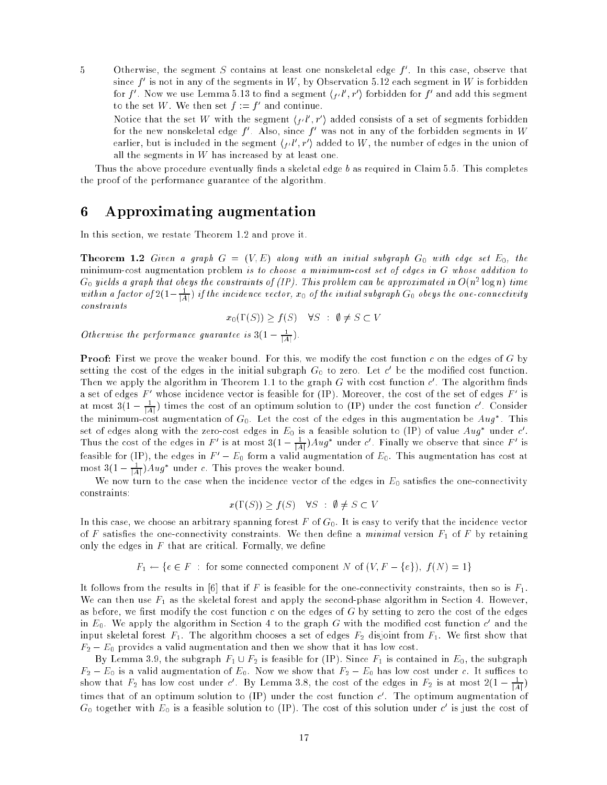- 5 Otherwise, the segment S contains at least one honskeletal edge f . In this case, observe that since  $f$  -is not in any of the segments in  $W$  , by Observation 5.12 each segment in  $W$  is forbidden for  $j$  . Now we use Lemma 5.15 to find a segment  $(f^{(i)}, r^{(j)})$  forbidden for  $j$  and add this segment to the set  $W$ . We then set  $f := f$  and continue.
	- Notice that the set  $W$  with the segment  $\{f^{(l)}, r^{\prime}\}$  added consists of a set of segments forbidden for the new nonskeletal edge  $f$  . Also, since  $f$  was not in any of the forbidden segments in  $W$ earlier, but is included in the segment  $\{\mu\}$  ,  $r$  ) added to  $\nu$  , the number of edges in the union of all the segments in  $W$  has increased by at least one.

Thus the above procedure eventually finds a skeletal edge  $b$  as required in Claim 5.5. This completes the proof of the performance guarantee of the algorithm.

## 6 Approximating augmentation

In this section, we restate Theorem 1.2 and prove it.

Theorem 1.2 Given <sup>a</sup> graph <sup>G</sup> <sup>=</sup> (V; E) along with an initial subgraph G0 with edge set E0, the minimum-cost augmentation problem is to choose a minimum-cost set of edges in G whose addition to  $\rm G_0$  yielas a graph that obeys the constraints of (IP). This problem can be approximated in  $O(n^2$  logn) time within a factor of 2(1  $-\frac{1}{|A|}$ ) if the incidence vector,  $x_0$  of the initial subgraph  $G_0$  obeys the one-connectivity constraints

$$
x_0(\Gamma(S)) \ge f(S) \quad \forall S \; : \; \emptyset \ne S \subset V
$$

Otherwise the performance guarantee is  $3(1-\frac{1}{|A|})$ .

Proof: First we prove the weaker bound. For this, we modify the cost function c on the edges of G by setting the cost of the edges in the initial subgraph  $\alpha_0$  to zero. Let  $c$  be the modified cost function. Then we apply the algorithm in Theorem 1.1 to the graph G with cost function  $c$  . The algorithm finds a set of edges  $F$  -whose incidence vector is feasible for (IP). Moreover, the cost of the set of edges  $F$  -is at most  $\mathfrak{z}(1 - \frac{1}{|A|})$  times the cost of an optimum solution to (IP) under the cost function c. Consider the minimum-cost augmentation of  $G_0$ . Let the cost of the edges in this augmentation be  $Aug$  . This Set of edges along with the zero-cost edges in  $E_0$  is a feasible solution to (IP) of value Aug under c.<br>Thus the cost of the edges in F' is at most  $3(1-\frac{1}{|A|})Aug^*$  under c'. Finally we observe that since F' is feasible for (IP), the edges in  $F' - E_0$  form a valid augmentation of  $E_0$ . This augmentation has cost at most  $\delta(1 - \frac{1}{|A|})$ Aug under c. This proves the weaker bound.

We now turn to the case when the incidence vector of the edges in  $E_0$  satisfies the one-connectivity constraints:

$$
x(\Gamma(S)) \ge f(S) \quad \forall S \; : \; \emptyset \ne S \subset V
$$

In this case, we choose an arbitrary spanning forest  $F$  of  $G_0$ . It is easy to verify that the incidence vector of F satisfies the one-connectivity constraints. We then define a minimal version  $F_1$  of F by retaining only the edges in  $F$  that are critical. Formally, we define

 $F_1 \leftarrow \{e \in F : \text{ for some connected component } N \text{ of } (V, F - \{e\}), f(N) = 1\}$ 

It follows from the results in [6] that if F is feasible for the one-connectivity constraints, then so is  $F_1$ . We can then use  $F_1$  as the skeletal forest and apply the second-phase algorithm in Section 4. However, as before, we first modify the cost function  $c$  on the edges of  $G$  by setting to zero the cost of the edges in  $E_0$ . We apply the algorithm in Section 4 to the graph  $\rm{G}$  with the modified cost function  $c$  and the input skeletal forest  $F_1$ . The algorithm chooses a set of edges  $F_2$  disjoint from  $F_1$ . We first show that  $F_2 - E_0$  provides a valid augmentation and then we show that it has low cost.

By Lemma 3.9, the subgraph  $F_1 \cup F_2$  is feasible for (IP). Since  $F_1$  is contained in  $E_0$ , the subgraph  $F_2 - E_0$  is a valid augmentation of  $E_0$ . Now we show that  $F_2 - E_0$  has low cost under c. It suffices to show that  $F_2$  has low cost under c. By Lemma 3.8, the cost of the edges in  $F_2$  is at most  $2(1-\frac{1}{|A|})$ times that of an optimum solution to (IP) under the cost function  $c$  . The optimum augmentation of  $\rm G_0$  together with  $E_0$  is a feasible solution to (IP). The cost of this solution under  $c$  is just the cost of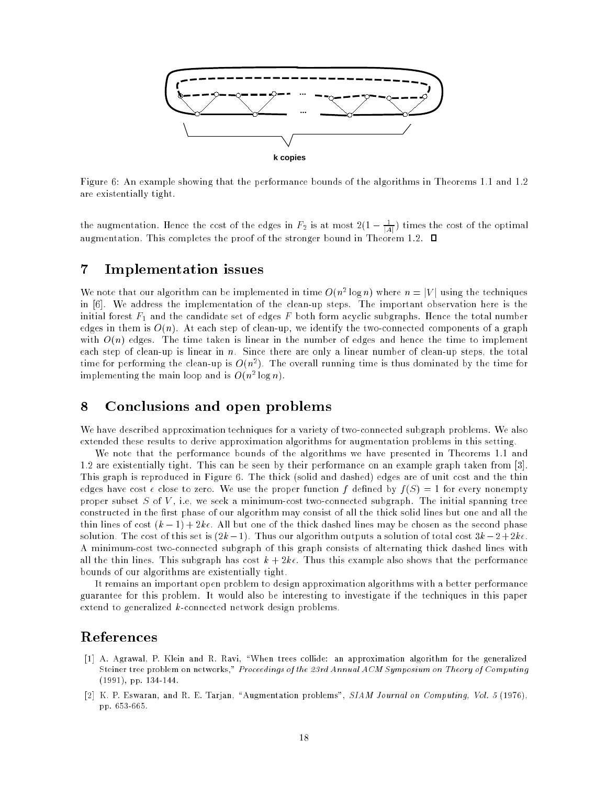

Figure 6: An example showing that the performance bounds of the algorithms in Theorems 1.1 and 1.2 are existentially tight.

the augmentation. Hence the cost of the edges in  $F_2$  is at most  $2(1-\frac{1}{|A|})$  times the cost of the optimal augmentation. This completes the proof of the stronger bound in Theorem 1.2.  $\Box$ 

#### Implementation issues  $\overline{7}$

We note that our algorithm can be implemented in time  $O(n^2 \log n)$  where  $n = |\gamma|$  using the techniques in [6]. We address the implementation of the clean-up steps. The important observation here is the initial forest  $F_1$  and the candidate set of edges F both form acyclic subgraphs. Hence the total number edges in them is  $O(n)$ . At each step of clean-up, we identify the two-connected components of a graph with  $O(n)$  edges. The time taken is linear in the number of edges and hence the time to implement each step of clean-up is linear in n. Since there are only a linear number of clean-up steps, the total time for performing the clean-up is  $O(n^2)$ . The overall running time is thus dominated by the time for Implementing the main loop and is  $O(n^2 \log n)$ .

#### 8 Conclusions and open problems

We have described approximation techniques for a variety of two-connected subgraph problems. We also extended these results to derive approximation algorithms for augmentation problems in this setting.

We note that the performance bounds of the algorithms we have presented in Theorems 1.1 and 1.2 are existentially tight. This can be seen by their performance on an example graph taken from [3]. This graph is reproduced in Figure 6. The thick (solid and dashed) edges are of unit cost and the thin edges have cost  $\epsilon$  close to zero. We use the proper function f defined by  $f(S) = 1$  for every nonempty proper subset  $S$  of  $V$ , i.e, we seek a minimum-cost two-connected subgraph. The initial spanning tree constructed in the first phase of our algorithm may consist of all the thick solid lines but one and all the thin lines of cost  $(k - 1) + 2k\epsilon$ . All but one of the thick dashed lines may be chosen as the second phase solution. The cost of this set is  $(2k-1)$ . Thus our algorithm outputs a solution of total cost  $3k-2+2k\epsilon$ . A minimum-cost two-connected subgraph of this graph consists of alternating thick dashed lines with all the thin lines. This subgraph has cost  $k + 2k\epsilon$ . Thus this example also shows that the performance bounds of our algorithms are existentially tight.

It remains an important open problem to design approximation algorithms with a better performance guarantee for this problem. It would also be interesting to investigate if the techniques in this paper extend to generalized k-connected network design problems.

#### References

- [1] A. Agrawal, P. Klein and R. Ravi, \When trees collide: an approximation algorithm for the generalized Steiner tree problem on networks," Proceedings of the 23rd Annual ACM Symposium on Theory of Computing (1991), pp. 134-144.
- [2] K. P. Eswaran, and R. E. Tarjan, "Augmentation problems", SIAM Journal on Computing, Vol. 5 (1976), pp. 653-665.